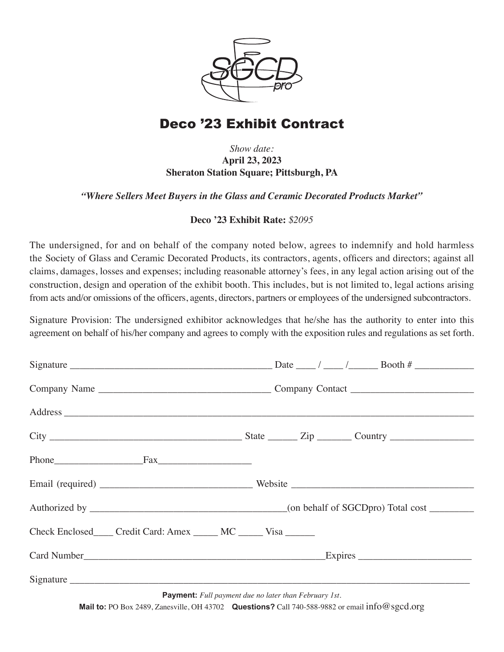

# Deco '23 Exhibit Contract

### *Show date:* **April 23, 2023 Sheraton Station Square; Pittsburgh, PA**

#### *"Where Sellers Meet Buyers in the Glass and Ceramic Decorated Products Market"*

#### **Deco '23 Exhibit Rate:** *\$2095*

The undersigned, for and on behalf of the company noted below, agrees to indemnify and hold harmless the Society of Glass and Ceramic Decorated Products, its contractors, agents, officers and directors; against all claims, damages, losses and expenses; including reasonable attorney's fees, in any legal action arising out of the construction, design and operation of the exhibit booth. This includes, but is not limited to, legal actions arising from acts and/or omissions of the officers, agents, directors, partners or employees of the undersigned subcontractors.

Signature Provision: The undersigned exhibitor acknowledges that he/she has the authority to enter into this agreement on behalf of his/her company and agrees to comply with the exposition rules and regulations as set forth.

| Check Enclosed Credit Card: Amex MC Visa                     |  |
|--------------------------------------------------------------|--|
|                                                              |  |
|                                                              |  |
| <b>Payment:</b> Full payment due no later than February 1st. |  |

**Mail to:** PO Box 2489, Zanesville, OH 43702 **Questions?** Call 740-588-9882 or email info@sgcd.org